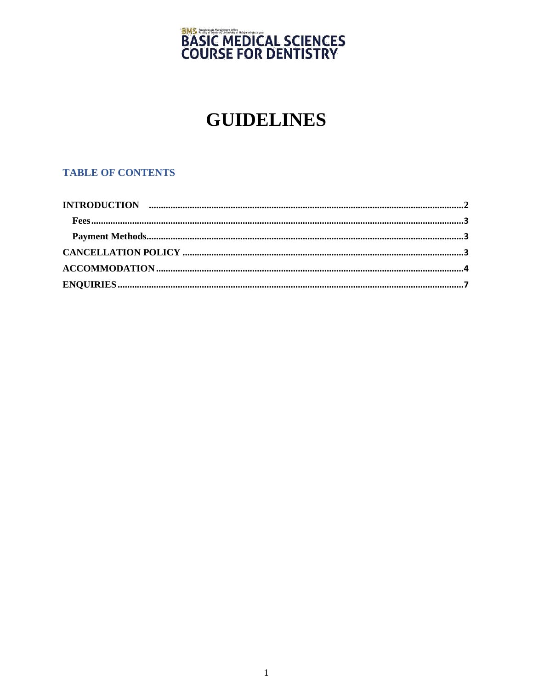# **BMS<br>BASIC MEDICAL SCIENCES<br>COURSE FOR DENTISTRY**

# **GUIDELINES**

# **TABLE OF CONTENTS**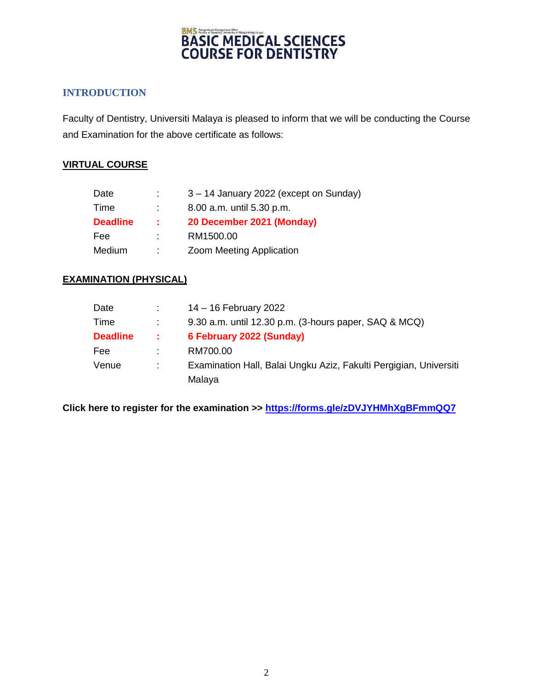# **BMS STEET MEDICAL SCIENCES COURSE FOR DENTISTRY**

# **INTRODUCTION**

Faculty of Dentistry, Universiti Malaya is pleased to inform that we will be conducting the Course and Examination for the above certificate as follows:

## **VIRTUAL COURSE**

| Date            | ÷ | 3 - 14 January 2022 (except on Sunday) |
|-----------------|---|----------------------------------------|
| Time            |   | 8.00 a.m. until 5.30 p.m.              |
| <b>Deadline</b> | ÷ | 20 December 2021 (Monday)              |
| Fee             | ÷ | RM1500.00                              |
| Medium          | ÷ | Zoom Meeting Application               |

# **EXAMINATION (PHYSICAL)**

| Date            |     | 14 – 16 February 2022                                             |
|-----------------|-----|-------------------------------------------------------------------|
| Time            |     | 9.30 a.m. until 12.30 p.m. (3-hours paper, SAQ & MCQ)             |
| <b>Deadline</b> | -11 | 6 February 2022 (Sunday)                                          |
| Fee             |     | RM700.00                                                          |
| Venue           |     | Examination Hall, Balai Ungku Aziz, Fakulti Pergigian, Universiti |
|                 |     | Malaya                                                            |

**Click here to register for the examination >><https://forms.gle/zDVJYHMhXgBFmmQQ7>**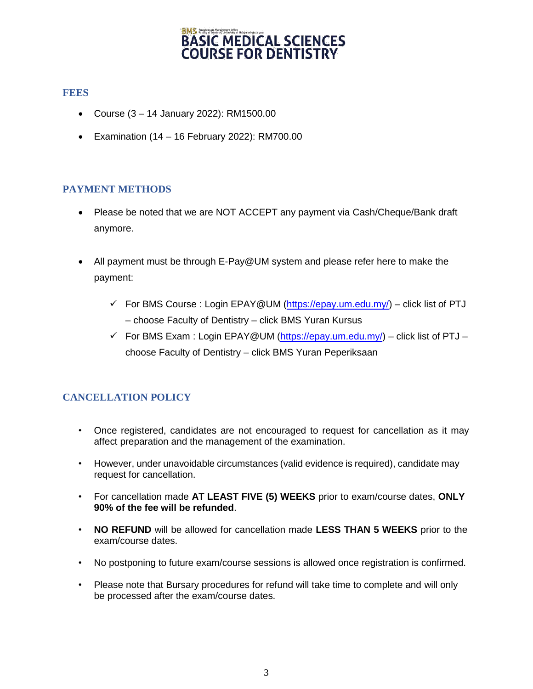#### **BMS** Postgraduate Management Office **BASIC MEDICAL SCIENCES COURSE FOR DENTISTRY**

## **FEES**

- Course (3 14 January 2022): RM1500.00
- Examination (14 16 February 2022): RM700.00

## **PAYMENT METHODS**

- Please be noted that we are NOT ACCEPT any payment via Cash/Cheque/Bank draft anymore.
- All payment must be through E-Pay@UM system and please refer here to make the payment:
	- For BMS Course: Login EPAY@UM  $(\frac{https://epay.un.edu.my/}{https://epay.un.edu.my/})$  click list of PTJ – choose Faculty of Dentistry – click BMS Yuran Kursus
	- For BMS Exam: Login EPAY@UM [\(https://epay.um.edu.my/\)](https://epay.um.edu.my/) click list of PTJ choose Faculty of Dentistry – click BMS Yuran Peperiksaan

# **CANCELLATION POLICY**

- Once registered, candidates are not encouraged to request for cancellation as it may affect preparation and the management of the examination.
- However, under unavoidable circumstances (valid evidence is required), candidate may request for cancellation.
- For cancellation made **AT LEAST FIVE (5) WEEKS** prior to exam/course dates, **ONLY 90% of the fee will be refunded**.
- **NO REFUND** will be allowed for cancellation made **LESS THAN 5 WEEKS** prior to the exam/course dates.
- No postponing to future exam/course sessions is allowed once registration is confirmed.
- Please note that Bursary procedures for refund will take time to complete and will only be processed after the exam/course dates.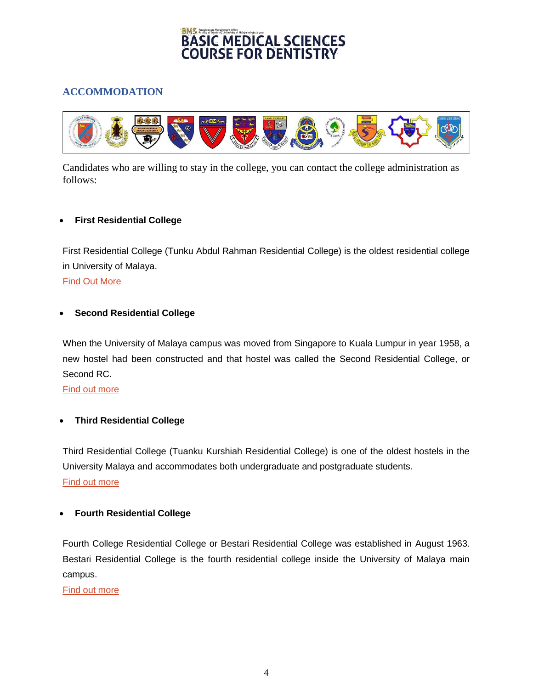# BMS<br>BASIC MEDICAL SCIENCES **COURSE FOR DENTISTRY**

# **ACCOMMODATION**



Candidates who are willing to stay in the college, you can contact the college administration as follows:

#### **First Residential College**

First Residential College (Tunku Abdul Rahman Residential College) is the oldest residential college in University of Malaya.

#### [Find Out More](http://www.hepa.um.edu.my/kolej-kediaman-pertama-(kk1)/about-us)

#### **Second Residential College**

When the University of Malaya campus was moved from Singapore to Kuala Lumpur in year 1958, a new hostel had been constructed and that hostel was called the Second Residential College, or Second RC.

[Find out more](http://www.hepa.um.edu.my/kolej-kediaman-kedua-(kk2)/about-us)

#### **Third Residential College**

Third Residential College (Tuanku Kurshiah Residential College) is one of the oldest hostels in the University Malaya and accommodates both undergraduate and postgraduate students. [Find out more](http://www.hepa.um.edu.my/kolej-kediaman-ketiga-(kk3)/about-us)

#### **Fourth Residential College**

Fourth College Residential College or Bestari Residential College was established in August 1963. Bestari Residential College is the fourth residential college inside the University of Malaya main campus.

#### [Find out more](http://www.hepa.um.edu.my/kolej-kediaman-bestari-kk4/about-us)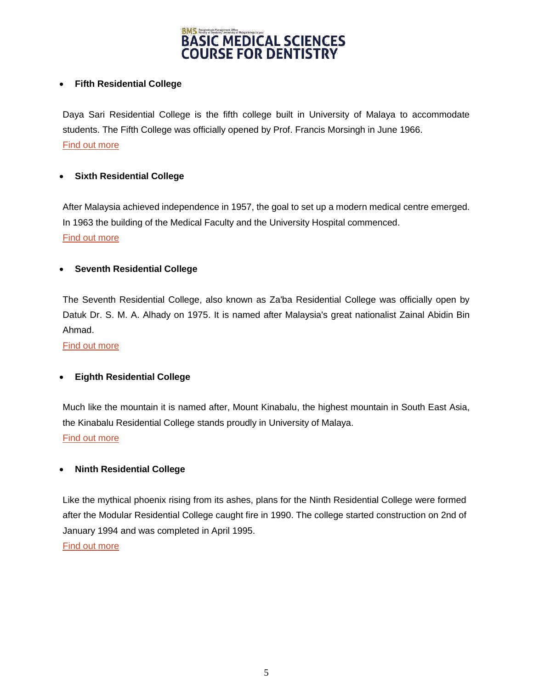

#### **Fifth Residential College**

Daya Sari Residential College is the fifth college built in University of Malaya to accommodate students. The Fifth College was officially opened by Prof. Francis Morsingh in June 1966. [Find out more](http://www.hepa.um.edu.my/kolej-kediaman-kelima-(kk5)/about-us)

#### **Sixth Residential College**

After Malaysia achieved independence in 1957, the goal to set up a modern medical centre emerged. In 1963 the building of the Medical Faculty and the University Hospital commenced. [Find out more](http://www.hepa.um.edu.my/kolej-kediaman-ibnu-sina-kk6/about-kkis)

#### **Seventh Residential College**

The Seventh Residential College, also known as Za'ba Residential College was officially open by Datuk Dr. S. M. A. Alhady on 1975. It is named after Malaysia's great nationalist Zainal Abidin Bin Ahmad.

[Find out more](http://www.hepa.um.edu.my/kolej-kediaman-ketujuh-(kk7)/about-us)

#### **Eighth Residential College**

Much like the mountain it is named after, Mount Kinabalu, the highest mountain in South East Asia, the Kinabalu Residential College stands proudly in University of Malaya. [Find out more](http://www.hepa.um.edu.my/kolej-kediaman-(kk8)/about-us)

#### **Ninth Residential College**

Like the mythical phoenix rising from its ashes, plans for the Ninth Residential College were formed after the Modular Residential College caught fire in 1990. The college started construction on 2nd of January 1994 and was completed in April 1995.

[Find out more](http://www.hepa.um.edu.my/kolej-kediaman-sembilan-(kk9)/about-us)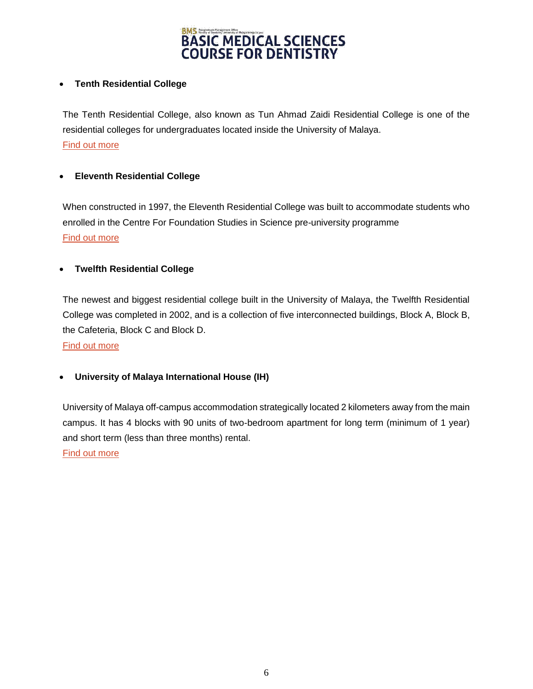

#### **Tenth Residential College**

The Tenth Residential College, also known as Tun Ahmad Zaidi Residential College is one of the residential colleges for undergraduates located inside the University of Malaya. [Find out more](http://www.hepa.um.edu.my/kolej-kediaman-10-tun-ahmad-zaidi-kk10/about-us)

#### **Eleventh Residential College**

When constructed in 1997, the Eleventh Residential College was built to accommodate students who enrolled in the Centre For Foundation Studies in Science pre-university programme [Find out more](http://www.hepa.um.edu.my/kolej-kediaman-kesebelas-(11)/about-us)

#### **Twelfth Residential College**

The newest and biggest residential college built in the University of Malaya, the Twelfth Residential College was completed in 2002, and is a collection of five interconnected buildings, Block A, Block B, the Cafeteria, Block C and Block D.

[Find out more](http://www.hepa.um.edu.my/kolej-kediaman-dr-nazrin-shah-kk12/about-us)

#### **University of Malaya International House (IH)**

University of Malaya off-campus accommodation strategically located 2 kilometers away from the main campus. It has 4 blocks with 90 units of two-bedroom apartment for long term (minimum of 1 year) and short term (less than three months) rental.

[Find out more](http://www.hepa.um.edu.my/university-malaya-international-house-(ih)/about-us)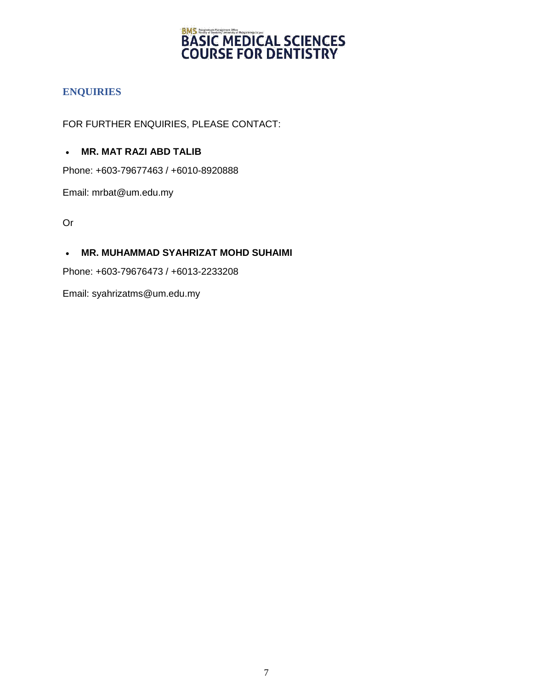# **BMS<br>
BASIC MEDICAL SCIENCES<br>
COURSE FOR DENTISTRY**

# **ENQUIRIES**

FOR FURTHER ENQUIRIES, PLEASE CONTACT:

## **MR. MAT RAZI ABD TALIB**

Phone: +603-79677463 / +6010-8920888

Email: mrbat@um.edu.my

Or

## **MR. MUHAMMAD SYAHRIZAT MOHD SUHAIMI**

Phone: +603-79676473 / +6013-2233208

Email: syahrizatms@um.edu.my